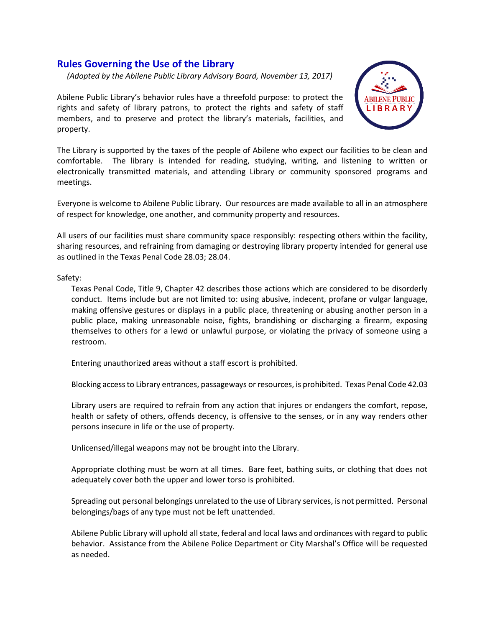## **Rules Governing the Use of the Library**

 *(Adopted by the Abilene Public Library Advisory Board, November 13, 2017)*

Abilene Public Library's behavior rules have a threefold purpose: to protect the rights and safety of library patrons, to protect the rights and safety of staff members, and to preserve and protect the library's materials, facilities, and property.



The Library is supported by the taxes of the people of Abilene who expect our facilities to be clean and comfortable. The library is intended for reading, studying, writing, and listening to written or electronically transmitted materials, and attending Library or community sponsored programs and meetings.

Everyone is welcome to Abilene Public Library. Our resources are made available to all in an atmosphere of respect for knowledge, one another, and community property and resources.

All users of our facilities must share community space responsibly: respecting others within the facility, sharing resources, and refraining from damaging or destroying library property intended for general use as outlined in the Texas Penal Code 28.03; 28.04.

## Safety:

Texas Penal Code, Title 9, Chapter 42 describes those actions which are considered to be disorderly conduct. Items include but are not limited to: using abusive, indecent, profane or vulgar language, making offensive gestures or displays in a public place, threatening or abusing another person in a public place, making unreasonable noise, fights, brandishing or discharging a firearm, exposing themselves to others for a lewd or unlawful purpose, or violating the privacy of someone using a restroom.

Entering unauthorized areas without a staff escort is prohibited.

Blocking access to Library entrances, passageways or resources, is prohibited. Texas Penal Code 42.03

Library users are required to refrain from any action that injures or endangers the comfort, repose, health or safety of others, offends decency, is offensive to the senses, or in any way renders other persons insecure in life or the use of property.

Unlicensed/illegal weapons may not be brought into the Library.

Appropriate clothing must be worn at all times. Bare feet, bathing suits, or clothing that does not adequately cover both the upper and lower torso is prohibited.

Spreading out personal belongings unrelated to the use of Library services, is not permitted. Personal belongings/bags of any type must not be left unattended.

Abilene Public Library will uphold all state, federal and local laws and ordinances with regard to public behavior. Assistance from the Abilene Police Department or City Marshal's Office will be requested as needed.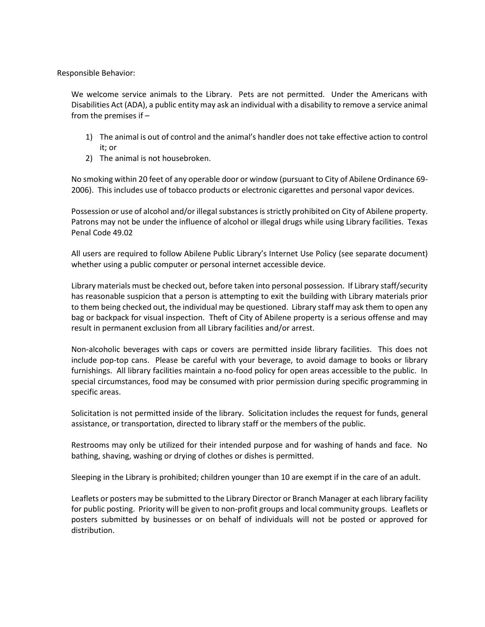Responsible Behavior:

We welcome service animals to the Library. Pets are not permitted. Under the Americans with Disabilities Act (ADA), a public entity may ask an individual with a disability to remove a service animal from the premises if –

- 1) The animal is out of control and the animal's handler does not take effective action to control it; or
- 2) The animal is not housebroken.

No smoking within 20 feet of any operable door or window (pursuant to City of Abilene Ordinance 69- 2006). This includes use of tobacco products or electronic cigarettes and personal vapor devices.

Possession or use of alcohol and/or illegal substances is strictly prohibited on City of Abilene property. Patrons may not be under the influence of alcohol or illegal drugs while using Library facilities. Texas Penal Code 49.02

All users are required to follow Abilene Public Library's Internet Use Policy (see separate document) whether using a public computer or personal internet accessible device.

Library materials must be checked out, before taken into personal possession. If Library staff/security has reasonable suspicion that a person is attempting to exit the building with Library materials prior to them being checked out, the individual may be questioned. Library staff may ask them to open any bag or backpack for visual inspection. Theft of City of Abilene property is a serious offense and may result in permanent exclusion from all Library facilities and/or arrest.

Non-alcoholic beverages with caps or covers are permitted inside library facilities. This does not include pop-top cans. Please be careful with your beverage, to avoid damage to books or library furnishings. All library facilities maintain a no-food policy for open areas accessible to the public. In special circumstances, food may be consumed with prior permission during specific programming in specific areas.

Solicitation is not permitted inside of the library. Solicitation includes the request for funds, general assistance, or transportation, directed to library staff or the members of the public.

Restrooms may only be utilized for their intended purpose and for washing of hands and face. No bathing, shaving, washing or drying of clothes or dishes is permitted.

Sleeping in the Library is prohibited; children younger than 10 are exempt if in the care of an adult.

Leaflets or posters may be submitted to the Library Director or Branch Manager at each library facility for public posting. Priority will be given to non-profit groups and local community groups. Leaflets or posters submitted by businesses or on behalf of individuals will not be posted or approved for distribution.